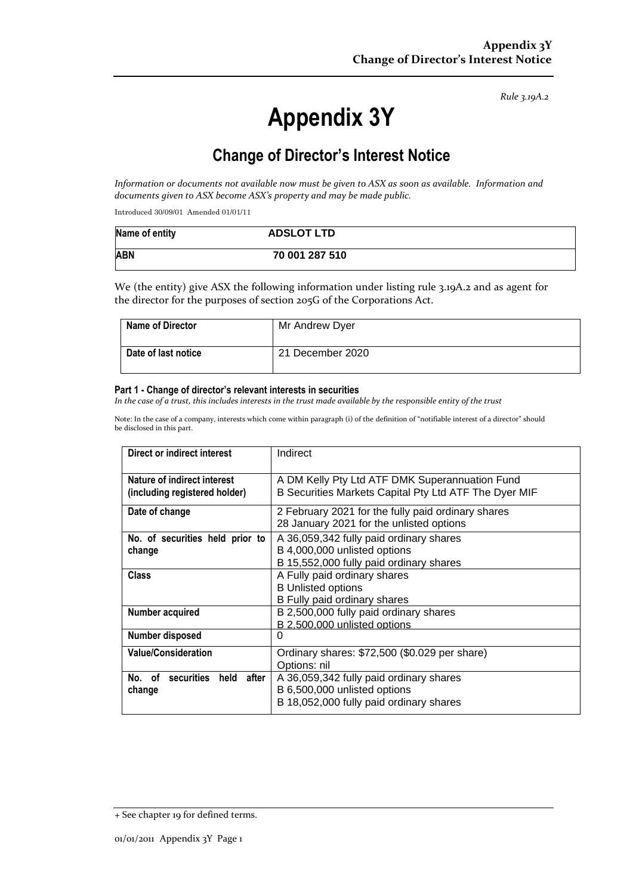*Rule 3.19A.2*

# **Appendix 3Y**

# **Change of Director's Interest Notice**

*Information or documents not available now must be given to ASX as soon as available. Information and documents given to ASX become ASX's property and may be made public.*

Introduced 30/09/01 Amended 01/01/11

| Name of entity | <b>ADSLOT LTD</b> |
|----------------|-------------------|
| <b>ABN</b>     | 70 001 287 510    |

We (the entity) give ASX the following information under listing rule 3.19A.2 and as agent for the director for the purposes of section 205G of the Corporations Act.

| <b>Name of Director</b> | Mr Andrew Dyer   |
|-------------------------|------------------|
| Date of last notice     | 21 December 2020 |

#### **Part 1 - Change of director's relevant interests in securities**

*In the case of a trust, this includes interests in the trust made available by the responsible entity of the trust*

Note: In the case of a company, interests which come within paragraph (i) of the definition of "notifiable interest of a director" should be disclosed in this part.

| Direct or indirect interest                                  | Indirect                                                                                                           |
|--------------------------------------------------------------|--------------------------------------------------------------------------------------------------------------------|
| Nature of indirect interest<br>(including registered holder) | A DM Kelly Pty Ltd ATF DMK Superannuation Fund<br>B Securities Markets Capital Pty Ltd ATF The Dyer MIF            |
| Date of change                                               | 2 February 2021 for the fully paid ordinary shares<br>28 January 2021 for the unlisted options                     |
| No. of securities held prior to<br>change                    | A 36,059,342 fully paid ordinary shares<br>B 4,000,000 unlisted options<br>B 15,552,000 fully paid ordinary shares |
| Class                                                        | A Fully paid ordinary shares<br><b>B Unlisted options</b><br>B Fully paid ordinary shares                          |
| Number acquired                                              | B 2,500,000 fully paid ordinary shares<br>B 2,500,000 unlisted options                                             |
| Number disposed                                              | 0                                                                                                                  |
| <b>Value/Consideration</b>                                   | Ordinary shares: \$72,500 (\$0.029 per share)<br>Options: nil                                                      |
| No. of securities held after<br>change                       | A 36,059,342 fully paid ordinary shares<br>B 6,500,000 unlisted options<br>B 18,052,000 fully paid ordinary shares |

<sup>+</sup> See chapter 19 for defined terms.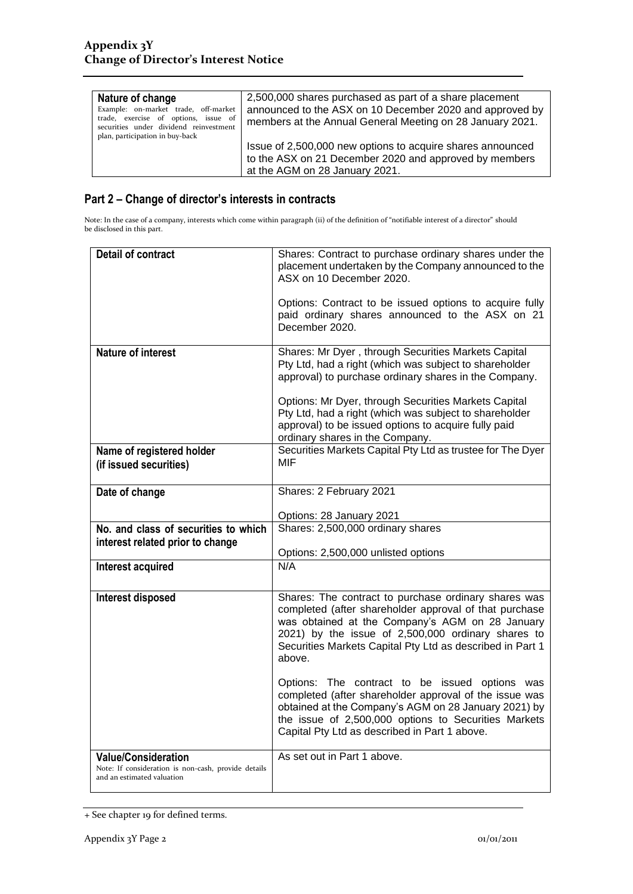| Nature of change<br>Example: on-market trade, off-market<br>trade, exercise of options, issue of<br>securities under dividend reinvestment<br>plan, participation in buy-back | 2,500,000 shares purchased as part of a share placement<br>announced to the ASX on 10 December 2020 and approved by<br>members at the Annual General Meeting on 28 January 2021. |
|-------------------------------------------------------------------------------------------------------------------------------------------------------------------------------|----------------------------------------------------------------------------------------------------------------------------------------------------------------------------------|
|                                                                                                                                                                               | Issue of 2,500,000 new options to acquire shares announced<br>to the ASX on 21 December 2020 and approved by members<br>at the AGM on 28 January 2021.                           |

## **Part 2 – Change of director's interests in contracts**

Note: In the case of a company, interests which come within paragraph (ii) of the definition of "notifiable interest of a director" should be disclosed in this part.

| <b>Detail of contract</b>                                                                                       | Shares: Contract to purchase ordinary shares under the<br>placement undertaken by the Company announced to the<br>ASX on 10 December 2020.<br>Options: Contract to be issued options to acquire fully<br>paid ordinary shares announced to the ASX on 21<br>December 2020.                                                                                                                                 |  |
|-----------------------------------------------------------------------------------------------------------------|------------------------------------------------------------------------------------------------------------------------------------------------------------------------------------------------------------------------------------------------------------------------------------------------------------------------------------------------------------------------------------------------------------|--|
| <b>Nature of interest</b>                                                                                       | Shares: Mr Dyer, through Securities Markets Capital<br>Pty Ltd, had a right (which was subject to shareholder<br>approval) to purchase ordinary shares in the Company.<br>Options: Mr Dyer, through Securities Markets Capital<br>Pty Ltd, had a right (which was subject to shareholder<br>approval) to be issued options to acquire fully paid<br>ordinary shares in the Company.                        |  |
| Name of registered holder<br>(if issued securities)                                                             | Securities Markets Capital Pty Ltd as trustee for The Dyer<br><b>MIF</b>                                                                                                                                                                                                                                                                                                                                   |  |
| Date of change                                                                                                  | Shares: 2 February 2021<br>Options: 28 January 2021                                                                                                                                                                                                                                                                                                                                                        |  |
| No. and class of securities to which<br>interest related prior to change                                        | Shares: 2,500,000 ordinary shares<br>Options: 2,500,000 unlisted options                                                                                                                                                                                                                                                                                                                                   |  |
| Interest acquired                                                                                               | N/A                                                                                                                                                                                                                                                                                                                                                                                                        |  |
| Interest disposed                                                                                               | Shares: The contract to purchase ordinary shares was<br>completed (after shareholder approval of that purchase<br>was obtained at the Company's AGM on 28 January<br>2021) by the issue of 2,500,000 ordinary shares to<br>Securities Markets Capital Pty Ltd as described in Part 1<br>above.<br>Options: The contract to be issued options was<br>completed (after shareholder approval of the issue was |  |
|                                                                                                                 | obtained at the Company's AGM on 28 January 2021) by<br>the issue of 2,500,000 options to Securities Markets<br>Capital Pty Ltd as described in Part 1 above.                                                                                                                                                                                                                                              |  |
| <b>Value/Consideration</b><br>Note: If consideration is non-cash, provide details<br>and an estimated valuation | As set out in Part 1 above.                                                                                                                                                                                                                                                                                                                                                                                |  |

<sup>+</sup> See chapter 19 for defined terms.